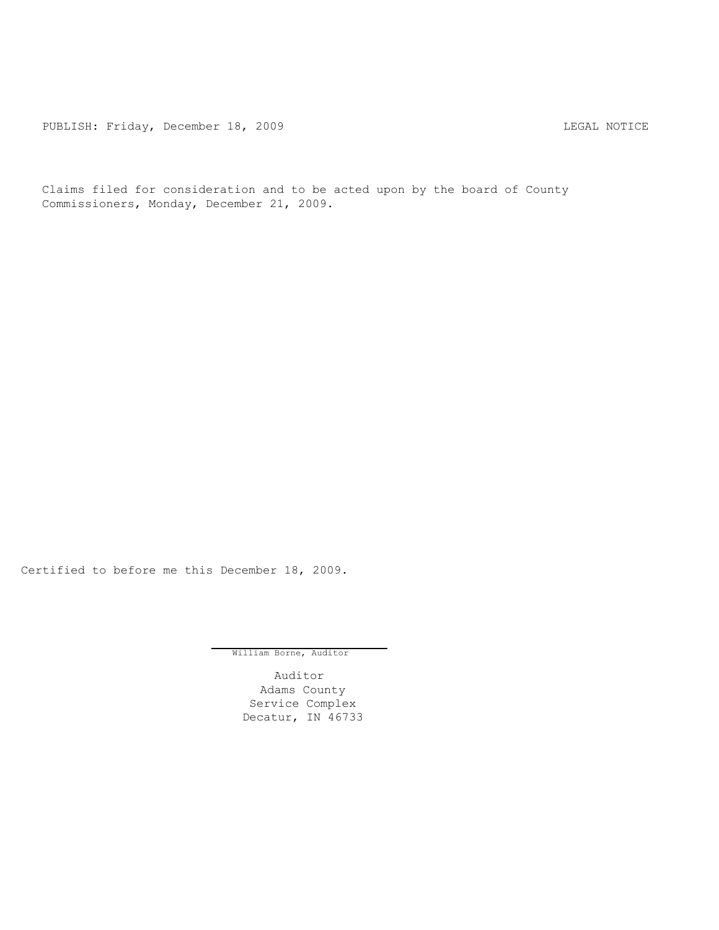PUBLISH: Friday, December 18, 2009 CHA CHARL MOTICE

Claims filed for consideration and to be acted upon by the board of County Commissioners, Monday, December 21, 2009.

Certified to before me this December 18, 2009.

William Borne, Auditor

Auditor Adams County Service Complex Decatur, IN 46733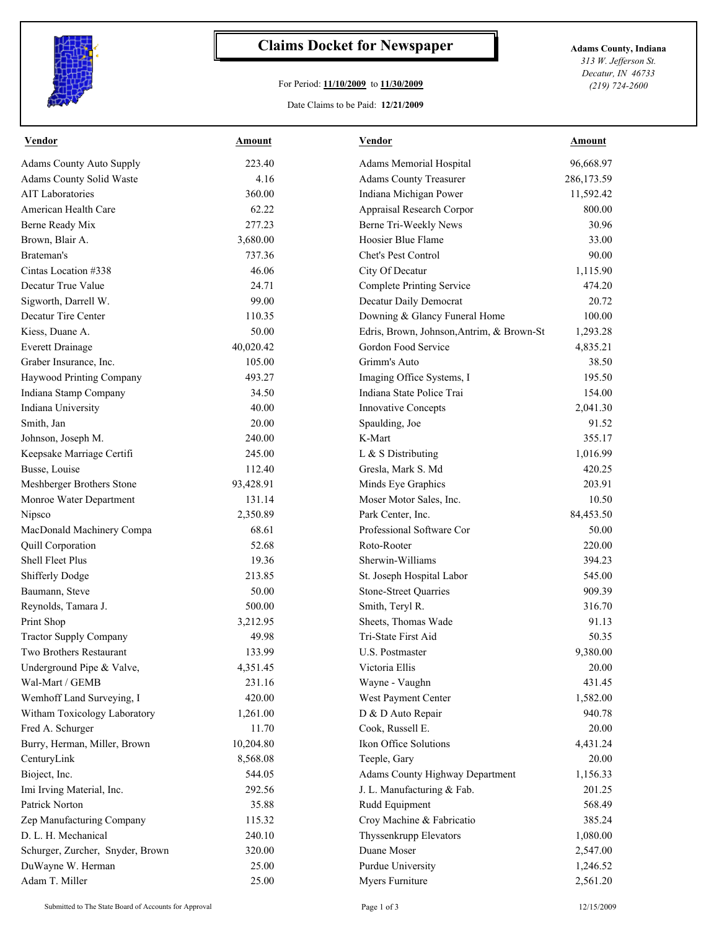

## **Claims Docket for Newspaper Adams County, Indiana**

## For Period: **11/10/2009** to **11/30/2009**

*313 W. Jefferson St. Decatur, IN 46733 (219) 724-2600*

Date Claims to be Paid: **12/21/2009**

| <b>Vendor</b>                    | Amount    | Vendor                                    | Amount     |
|----------------------------------|-----------|-------------------------------------------|------------|
| <b>Adams County Auto Supply</b>  | 223.40    | Adams Memorial Hospital                   | 96,668.97  |
| Adams County Solid Waste         | 4.16      | <b>Adams County Treasurer</b>             | 286,173.59 |
| <b>AIT</b> Laboratories          | 360.00    | Indiana Michigan Power                    | 11,592.42  |
| American Health Care             | 62.22     | Appraisal Research Corpor                 | 800.00     |
| Berne Ready Mix                  | 277.23    | Berne Tri-Weekly News                     | 30.96      |
| Brown, Blair A.                  | 3,680.00  | Hoosier Blue Flame                        | 33.00      |
| Brateman's                       | 737.36    | Chet's Pest Control                       | 90.00      |
| Cintas Location #338             | 46.06     | City Of Decatur                           | 1,115.90   |
| Decatur True Value               | 24.71     | <b>Complete Printing Service</b>          | 474.20     |
| Sigworth, Darrell W.             | 99.00     | Decatur Daily Democrat                    | 20.72      |
| Decatur Tire Center              | 110.35    | Downing & Glancy Funeral Home             | 100.00     |
| Kiess, Duane A.                  | 50.00     | Edris, Brown, Johnson, Antrim, & Brown-St | 1,293.28   |
| <b>Everett Drainage</b>          | 40,020.42 | Gordon Food Service                       | 4,835.21   |
| Graber Insurance, Inc.           | 105.00    | Grimm's Auto                              | 38.50      |
| Haywood Printing Company         | 493.27    | Imaging Office Systems, I                 | 195.50     |
| Indiana Stamp Company            | 34.50     | Indiana State Police Trai                 | 154.00     |
| Indiana University               | 40.00     | <b>Innovative Concepts</b>                | 2,041.30   |
| Smith, Jan                       | 20.00     | Spaulding, Joe                            | 91.52      |
| Johnson, Joseph M.               | 240.00    | K-Mart                                    | 355.17     |
| Keepsake Marriage Certifi        | 245.00    | L & S Distributing                        | 1,016.99   |
| Busse, Louise                    | 112.40    | Gresla, Mark S. Md                        | 420.25     |
| Meshberger Brothers Stone        | 93,428.91 | Minds Eye Graphics                        | 203.91     |
| Monroe Water Department          | 131.14    | Moser Motor Sales, Inc.                   | 10.50      |
| Nipsco                           | 2,350.89  | Park Center, Inc.                         | 84,453.50  |
| MacDonald Machinery Compa        | 68.61     | Professional Software Cor                 | 50.00      |
| Quill Corporation                | 52.68     | Roto-Rooter                               | 220.00     |
| <b>Shell Fleet Plus</b>          | 19.36     | Sherwin-Williams                          | 394.23     |
| <b>Shifferly Dodge</b>           | 213.85    | St. Joseph Hospital Labor                 | 545.00     |
| Baumann, Steve                   | 50.00     | Stone-Street Quarries                     | 909.39     |
| Reynolds, Tamara J.              | 500.00    | Smith, Teryl R.                           | 316.70     |
| Print Shop                       | 3,212.95  | Sheets, Thomas Wade                       | 91.13      |
| <b>Tractor Supply Company</b>    | 49.98     | Tri-State First Aid                       | 50.35      |
| Two Brothers Restaurant          | 133.99    | U.S. Postmaster                           | 9,380.00   |
| Underground Pipe & Valve,        | 4,351.45  | Victoria Ellis                            | 20.00      |
| Wal-Mart / GEMB                  | 231.16    | Wayne - Vaughn                            | 431.45     |
| Wemhoff Land Surveying, I        | 420.00    | West Payment Center                       | 1,582.00   |
| Witham Toxicology Laboratory     | 1,261.00  | D & D Auto Repair                         | 940.78     |
| Fred A. Schurger                 | 11.70     | Cook, Russell E.                          | 20.00      |
| Burry, Herman, Miller, Brown     | 10,204.80 | Ikon Office Solutions                     | 4,431.24   |
| CenturyLink                      | 8,568.08  | Teeple, Gary                              | 20.00      |
| Bioject, Inc.                    | 544.05    | <b>Adams County Highway Department</b>    | 1,156.33   |
| Imi Irving Material, Inc.        | 292.56    | J. L. Manufacturing & Fab.                | 201.25     |
| Patrick Norton                   | 35.88     | Rudd Equipment                            | 568.49     |
| Zep Manufacturing Company        | 115.32    | Croy Machine & Fabricatio                 | 385.24     |
| D. L. H. Mechanical              | 240.10    | Thyssenkrupp Elevators                    | 1,080.00   |
| Schurger, Zurcher, Snyder, Brown | 320.00    | Duane Moser                               | 2,547.00   |
| DuWayne W. Herman                | 25.00     | Purdue University                         | 1,246.52   |
| Adam T. Miller                   | 25.00     | Myers Furniture                           | 2,561.20   |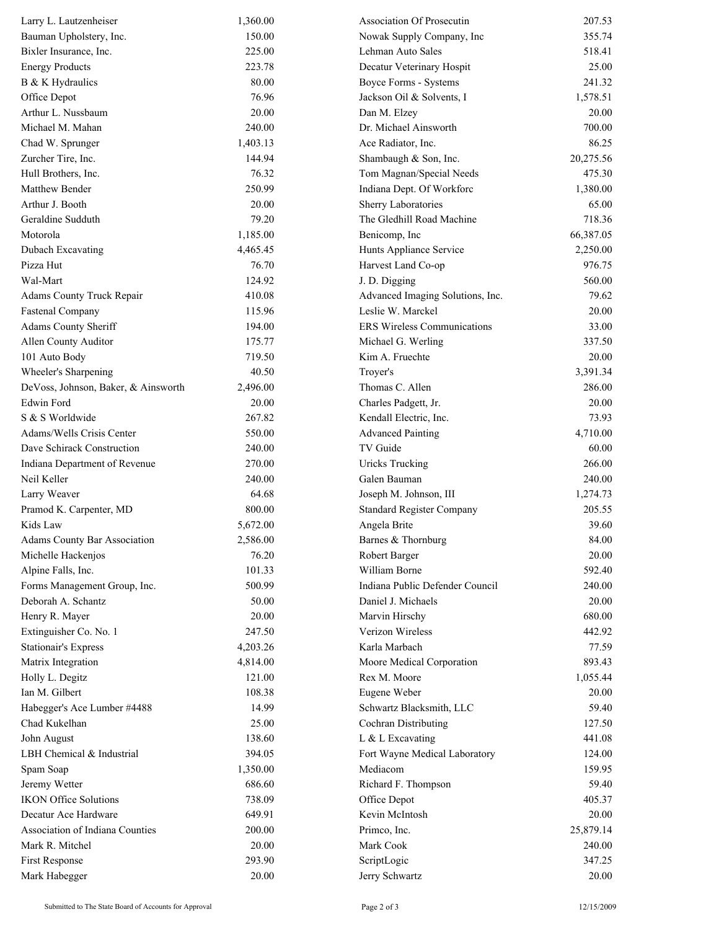| Larry L. Lautzenheiser              | 1,360.00 | Association Of Prosecutin          | 207.53    |
|-------------------------------------|----------|------------------------------------|-----------|
| Bauman Upholstery, Inc.             | 150.00   | Nowak Supply Company, Inc          | 355.74    |
| Bixler Insurance, Inc.              | 225.00   | Lehman Auto Sales                  | 518.41    |
| <b>Energy Products</b>              | 223.78   | Decatur Veterinary Hospit          | 25.00     |
| B & K Hydraulics                    | 80.00    | Boyce Forms - Systems              | 241.32    |
| Office Depot                        | 76.96    | Jackson Oil & Solvents, I          | 1,578.51  |
| Arthur L. Nussbaum                  | 20.00    | Dan M. Elzey                       | 20.00     |
| Michael M. Mahan                    | 240.00   | Dr. Michael Ainsworth              | 700.00    |
| Chad W. Sprunger                    | 1,403.13 | Ace Radiator, Inc.                 | 86.25     |
| Zurcher Tire, Inc.                  | 144.94   | Shambaugh & Son, Inc.              | 20,275.56 |
| Hull Brothers, Inc.                 | 76.32    | Tom Magnan/Special Needs           | 475.30    |
| Matthew Bender                      | 250.99   | Indiana Dept. Of Workforc          | 1,380.00  |
| Arthur J. Booth                     | 20.00    | Sherry Laboratories                | 65.00     |
| Geraldine Sudduth                   | 79.20    | The Gledhill Road Machine          | 718.36    |
| Motorola                            | 1,185.00 | Benicomp, Inc                      | 66,387.05 |
| Dubach Excavating                   | 4,465.45 | Hunts Appliance Service            | 2,250.00  |
| Pizza Hut                           | 76.70    | Harvest Land Co-op                 | 976.75    |
| Wal-Mart                            | 124.92   | J. D. Digging                      | 560.00    |
| <b>Adams County Truck Repair</b>    | 410.08   | Advanced Imaging Solutions, Inc.   | 79.62     |
| <b>Fastenal Company</b>             | 115.96   | Leslie W. Marckel                  | 20.00     |
| Adams County Sheriff                | 194.00   | <b>ERS</b> Wireless Communications | 33.00     |
| Allen County Auditor                | 175.77   | Michael G. Werling                 | 337.50    |
| 101 Auto Body                       | 719.50   | Kim A. Fruechte                    | 20.00     |
| Wheeler's Sharpening                | 40.50    | Troyer's                           | 3,391.34  |
| DeVoss, Johnson, Baker, & Ainsworth | 2,496.00 | Thomas C. Allen                    | 286.00    |
| Edwin Ford                          | 20.00    | Charles Padgett, Jr.               | 20.00     |
| S & S Worldwide                     | 267.82   | Kendall Electric, Inc.             | 73.93     |
| Adams/Wells Crisis Center           | 550.00   | <b>Advanced Painting</b>           | 4,710.00  |
| Dave Schirack Construction          | 240.00   | TV Guide                           | 60.00     |
| Indiana Department of Revenue       | 270.00   | <b>Uricks Trucking</b>             | 266.00    |
| Neil Keller                         | 240.00   | Galen Bauman                       | 240.00    |
| Larry Weaver                        | 64.68    | Joseph M. Johnson, III             | 1,274.73  |
| Pramod K. Carpenter, MD             | 800.00   | <b>Standard Register Company</b>   | 205.55    |
| Kids Law                            | 5,672.00 | Angela Brite                       | 39.60     |
| <b>Adams County Bar Association</b> | 2,586.00 | Barnes & Thornburg                 | 84.00     |
| Michelle Hackenjos                  | 76.20    | Robert Barger                      | 20.00     |
| Alpine Falls, Inc.                  | 101.33   | William Borne                      | 592.40    |
| Forms Management Group, Inc.        | 500.99   | Indiana Public Defender Council    | 240.00    |
| Deborah A. Schantz                  | 50.00    | Daniel J. Michaels                 | 20.00     |
| Henry R. Mayer                      | 20.00    | Marvin Hirschy                     | 680.00    |
| Extinguisher Co. No. 1              | 247.50   | Verizon Wireless                   | 442.92    |
| <b>Stationair's Express</b>         | 4,203.26 | Karla Marbach                      | 77.59     |
| Matrix Integration                  | 4,814.00 | Moore Medical Corporation          | 893.43    |
| Holly L. Degitz                     | 121.00   | Rex M. Moore                       | 1,055.44  |
| Ian M. Gilbert                      | 108.38   | Eugene Weber                       | 20.00     |
| Habegger's Ace Lumber #4488         | 14.99    | Schwartz Blacksmith, LLC           | 59.40     |
| Chad Kukelhan                       | 25.00    | Cochran Distributing               | 127.50    |
| John August                         | 138.60   | L & L Excavating                   | 441.08    |
| LBH Chemical & Industrial           | 394.05   | Fort Wayne Medical Laboratory      | 124.00    |
| Spam Soap                           | 1,350.00 | Mediacom                           | 159.95    |
| Jeremy Wetter                       | 686.60   | Richard F. Thompson                | 59.40     |
| <b>IKON Office Solutions</b>        | 738.09   | Office Depot                       | 405.37    |
| Decatur Ace Hardware                | 649.91   | Kevin McIntosh                     | 20.00     |
| Association of Indiana Counties     | 200.00   | Primco, Inc.                       | 25,879.14 |
| Mark R. Mitchel                     | 20.00    | Mark Cook                          | 240.00    |
| First Response                      | 293.90   | ScriptLogic                        | 347.25    |
| Mark Habegger                       | 20.00    | Jerry Schwartz                     | 20.00     |